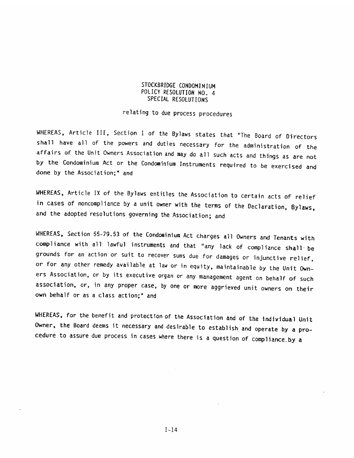#### STOCKBRIDGE CONDOMINIUM POLICY RESOLUTION NO. 4 SPECIAL RESOLUTIONS

relating to due process procedure5

WHEREAS, Article III, Section 1 of the Bylaws states that "The Board of Directors shall have all of the powers and duties necessary for the administration of the<br>affairs of the Unit Owners Association and may do all such acts and things as are not by the Condominium Act or the Condominium Instruments required to be exercised and done by the Association:" and

WHEREAS, Article IX of the Bylaws entitles the Association to Certain acts of relief in cases of noncompliance by a unit owner with the terms of the Declaration, Bylaws, and the adopted resolutions governing the Association; and

WHEREAS, Section 55-79.53 of the Condominium Act charges all Owners and Tenants with<br>compliance with all lawful instruments and that "any lack of compliance shall be grounds for an action or suit to recover sums due for damages or injunctive relief, or for any other remedy available at law or in equity, maintainable by the Unit Own ers Association, or by its executive organ or any management agent on behalf of such association, or, in any proper case, by one or more aggrieved unit owners on their own behalf or as <sup>a</sup> class action;' and POLICY ASSOLUTION NO. 4<br>POLICY ASSOLUTION NO. 4<br>POLICY ASSOLUTION NO. 4<br>CRAIN ANCHIONS TO COMPARY TO A PROGREM ASSOLUTION NO.<br>TRIALS, Article III, Section 1 of the Bylows states that "The Board of Directors<br>shall have all

WHEREAS, for the benefit and protection of the Association and of the individual Unit Owner, the Board deems it necessary and desirable to establish and operate by <sup>a</sup> pro cedure to assure due process in cases where there is a question of compliance.by a

 $I - 14$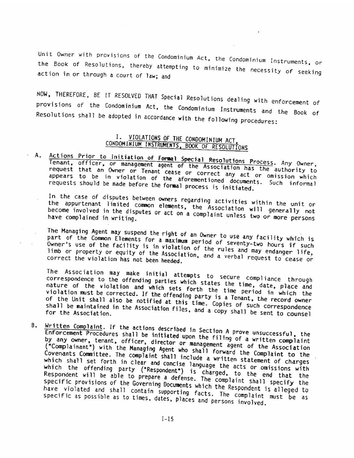Unit Owner with provisions of the Condominium Act, the Condominium Instruments, or action in or through a court of law; and the Book of Resolutions, thereby attempting to minimize the necessity of seeking

provisions of the Condominium Act, the Condominium Instruments and the Book of<br>Resolutions shall be adopted in accordance with the following procedures: NOW, THEREFORE, BE <sup>T</sup> RESOLVED THAT Special Resolutions dealing with enforcement of Resolutions shall be adopted in accordance with the following procedures: Unit Owner with provisions of the Condominium Act, the Condominium Instruments, or<br>the Book of Resolutions, thereby attempting to minimize the necessity of seeking<br>action in or through a court of law; and<br>NOW, THEREFORE, B

# I. VIOLATIONS OF THE CONDOMINIUM ACT, CONDOMINIUM INSTRUMENTS, BOOK OF RESOLUTIONS

A. Actions Prior to Initiation of Formal Special Resolutions Process. Any Owner, Tenant, officer, or management agent of the Association has the authority to request that an Owner or Tenant cease or correct any act or omission which request that an UWher or Tenant cease or correct any act or omission which<br>appears to be in violation of the aforementioned documents. Such informal<br>requests should be made before the formal process is initiated.

In the case of disputes between owners regarding activities within the unit or<br>the appurtenant limited common elements, the Association will generally not<br>become involved in the disputes or act on a complaint unless two or the compliancy of the disputes or act on a complaint unless two or more persons

part The Managing of the Common Agent may suspend the right Elements for a maximum Owner's use of the facility is in violation of the rules and may endanger life,<br>limb or property or equity of the Association, and a verbal request to cease or<br>correct the violation has not been headed

The Association may make initial attempts to secure compliance through<br>correspondence to the offending parties which states the time, date, place and excess the violation and which sets forth the time, date, place and violation must be corrected. If the offending party is a Tenant, the record owner of the Unit shall also be notified at this time. Can is a Tenant, the re violation must be corrected. If the offending party is a Tenant, the record owner<br>of the Unit shall also be notified at this time. Copies of such correspondence of the Unit Shall also be notified at this time. Copies of such correspondence<br>shall be maintained in the Association files, and a copy shall be sent to counsel<br>for the Association.

 $\mathbf{B}_{\perp}$ Written Complaint. If the actions described in Section A prove unsuccessful, the<br>Enforcement Procedures shall be initiated upon the filing of a written complaint<br>by any owner, tenant, officer, director or management social ('Complainant') with the officer, director Managing Agent by any owner, tenant, officer, director or management agent of the Association ("Complainant") with the Managing Agent who shall forward the Complaint to the Covenants Committee. The complaint shall include a written state Covenants Committee. The complaint shall include a written statement of charges which shall set forth in clear and concise language the acts or omissions with which the offending party ("Respondent") is charged, to the end that the<br>Respondent will be able to prepare a defense. The complaint shall specify the<br>Specific provisions of the Governing Documents which the Respondent is I. VIOLATIONS of THE CONDOMINIUM ACT<br>
(CONDOMINIUM MRITROS OFTHE CONDOMINIUM ACT<br>
CONDOMINIUM MRITROS OFTHE 2000CIPY RESOLUTIONS<br>
Treasait corricular in Granal general agent is dissocial Resolutions Process. Any Commer<br>
Tr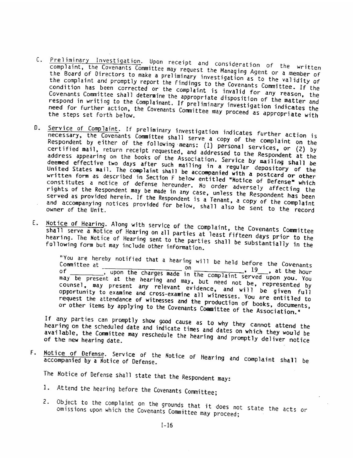- C. Preliminary Investigation. Upon receipt <u>restanced investigation</u>, upon receipt and consideration of the written<br>complaint, the Covenants Committee may request the Managing Agent or a morber of the Board of Directors to make a preliminary investigation as to the validity of the complaint and promptly report the findings to the Covenants Committee. If the<br>condition has been corrected or the complaint is invalid for any reason, the<br>Covenants Committee shall determine the appropriate disposition respond in writing to the Complainant. If preliminary investigation indicates the the steps is the steps set for the steps set for the steps set for further action, the Covenants Committee may proceed as appropriate with
- 0. Service of Complaint. If preliminary investigation indicates further action is Respondent by either of the following means: necessary, the Covenants Committee shall serve a copy of the complaint on the serve a copy of the complaint on the<br>Respondent by either of the following means: (1) personal services, or (2) by<br>certified mail, return receipt requested, and addressed to the Personaler (2) by ed officially receipt requested, and addressed to the Respondent at the<br>address appearing on the books of the Association. Service by majling shall be certified mail, return receipt requested, and addressed to the Respondent at the deemed effective two days of the Association. Service by mailing shall be<br>deemed effective two days after such mailing in a regular depository of the udemed errective two days after such mailing in a regular depository of the<br>United States mail. The complaint shall be accompanied with a postcard on att written form as described in Section F below entitled "Notice of Defense" which<br>constitutes a notice of defense hereunder. No order rewreced Defense" which be accompanied with a postcard or other constitutes <sup>a</sup> notice of defense hereunder. edistributes a notice of defense hereunder. No order adversely affecting the<br>rights of the Respondent may be made in any case, unless the Respondent ing served as provided herein. If the Respondent is a Tenant, a copy of the complaint case, unless the Respondent has been served as provided nerein. It the Respondent is a Tenant, a copy of the complaint<br>and accompanying notices provided for below, shall also be easily for the complaint and accompanying notices provided for below, shall also be sent to the record C. Predictionry (nextigation . Uses a preliminary investigation of the written<br>completion, the Covenant; Commutes map ret and consideration of the written<br>the Grand of Directors to meas a priminary investigation (nexture
- E. Notice of Hearing. Along with service of the complaint, the Covenants Committee hearing. The Notice of Hearing sent to the parties at least fifteen days prior to the<br>following form but may include other information. of Kearing on all parties at least fifteen days prior to the following form but may include other information.

Committee "You are hereby at notified that <sup>a</sup> hearing will be held before the Covenants on of \_\_\_\_\_\_\_\_\_ upon the charges made ]9, at the hour in the complaint served upon you. may be present at the hearing and may, You may be present at the nearing and may, but need not be, represented by opportunity to examine and cross-examine all witnesses. You are entitled to<br>request the attendance of witnesses and the production of the entitled to counsel, may present any relevant evidence, and will be given full request the attendance of witnesses and the production of books, documents, request the attendance or witnesses and the production of books, documents<br>or other items by applying to the Covenants Committee of the Association.<sup>\*</sup>

If any parties can promptly show good cause as to why they cannot attend the available, the Committee may hearing on the scheduled date and indicate times and dates on which they would be available, the committee may reschedule the hearing and promptly deliver notice<br>of the new hearing date.

F. Notice of Defense. Service of the Notice of Hearing and complaint shall be<br>accompanied by a Notice of Defense. accompanied by a Notice of Defense.

The Notice of Defense shall state that the Respondent may:

- 1. Attend the hearing before the Covenants Committee;
- 2. Object to the complaint on the grounds that it does not state the acts or omissions upon which the Covenants Committee may proceed; omissions upon which the Covenants Committee may proceed;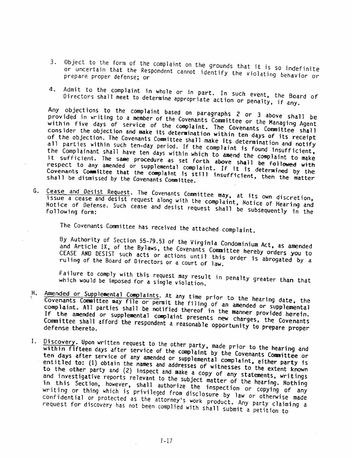- 3. Object to the form of the complaint on the grounds that it is so indefinite<br>or uncertain that the Respondent cannot identify the violational indefinite or uncertain that the Respondent cannot identify the ViOlating behavior or prepare proper defense; or
- 4. Admit to the complaint Directors shall meet to determine in whole or in part. In such event, the Board of<br>etermine appropriate action or penalty, if any.

provided Any objections to the complaint based in writing to <sup>a</sup> member of the On paragraphs <sup>2</sup> or <sup>3</sup> above shall be provided in withing to a member of the Covenants Committee or the Managing Agent<br>within five days of service of the complaint. The Covenants Committee consider the objection and make within five days of service of the complaint. The Covenants Committee shall<br>consider the objection and make its determination within ten days of its receipt<br>of the objection. The Covenants Committee shall make its determin of the objection. The tovenants Committee shall make its determination and notify<br>all parties within such ten-day period. If the complaint is found insufficient,<br>the Complainant shall have ten days within which to apond is the complainant shall have ten days within which to amend the complaint to make<br>it sufficient. The same procedure as set forth above shall be followed with<br>respect to any amended or supplemental complaint. If it is date. Complainant shall have ten days within which to amend the complaint to make respect to any amended or supplemental complaint. If it is determined by the Covenants Committee that the complaint respect to any amended or supplemental complaint. If it is determined by the<br>Covenants Committee that the complaint is still insufficient, then the matter<br>shall be dismissed by the Covenants Committee. 3. Out to the form of the completion the promotion that it is a indefinite<br>presented point to the form of the complete can be provided that it is a indefinite<br>presented point of the complete in part. In such complete prope

G. Cease and Desist Request. The Covenants Committee may, at its own discretion,<br>issue a cease and desist request along with the complaint, Net: issue a cease and desist request along with the complaint, Notice of Hearing and<br>Notice of Defense. Such cease and desist request shall be Notice of Defense. Such cease notice or uerense. Such cease and desist request shall be subsequently in the

The Covenants Cownittee has received the attached complaint.

By Authority of Section and Article TX, of the Bylaws, By Authority of Section 55-79.53 of the Virginia Condominium Act, as amended<br>and Article IX, of the Bylaws, the Covenants Committee hereby orders you to<br>CEASE AND DESIST such acts or actions until this order is abrogated t ruling of the Board of Directors or a court of law. CEASE AND DESIST such acts or actions until this order is abrogated by a

Failure to comply with this request may result in penalty greater than that which would be imposed for a single violation.

- H. Amended or Supplemental Complaints. At any time prior to the hearing date, the = Covenants Committee may file or permit the filing of an amended or supplemental<br>
complaint. All parties shall be notified thereof in the m Complaint. All parties shall be notified thereof in the manner provided herein.<br>If the amended or supplemental complaint presents new charges, the Covenants<br>Committee shall afford the respondent a reasonable opportunity to Committee shall afford the respondent a reasonable opportunity to prepare proper
- I. within <u>Discovery</u>. Upo<mark>n</mark> fifteen days after service of the complaint by the Covenants Committee or<br>s after service of any amended or supplemental complaints Committee or days written request to the other party, made prior to the hearing and<br>ays after service of the complaint by the G ten days after service of any amended or supplemental complaint, either party is<br>entitled to: (1) obtain the names and addresses of witnesses is either party is entitled to: (1) obtain the names and addresses of witnesses to the extent known<br>to the other party and (2) inspect and make a copy of any other extent known to the other party and (2) inspect and make a copy of any statements, writings<br>and investigative reports relevant to the subject materials is statements, writings and investigative reports relevant to the subject matter of the hearing. Writings<br>in this Section, however, shall authorize the frace of the hearing. Nothing in this Section, however, shall authorize the inspection or copying of any<br>writing or thing which is privileged from disclosure by 2. writing or thing which is privileged from disclosure by law or copying of any<br>confidential or protected as the attorney's work model is law or otherwise made confidential or protected as the request for discovery has not been attorney's work product. Any party claiming <sup>a</sup> complied with shall submit <sup>a</sup> petition to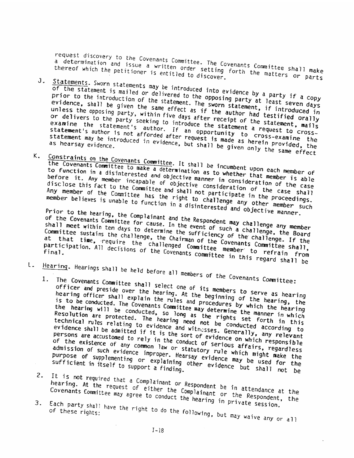request discovery to the Covenants Committee. The Covenants Committee shall make request discussion and issue a written order setting forth the matters or parts

thereof which the petitioner is entitled to discover.<br>J. Statements. Sworn statements may be introduced into evidence by a party if a copy<br>prior to the introduction of the statement of the epposing party at loose. of the statement is mailed or delivered to the opposing party at least seven days prior to the introduction of the statement. The sworn statement, if introduced in evidence, shall be given the same effect as if the author had testified orally<br>unless the opposing party, within five days after receipt of the statement, mails<br>or delivers to the party seeking to introduce the statement a unless the opposing party, within five days after receipt of the statement, mails<br>or delivers to the party seeking to introduce the statement a request to cross-<br>examine the statement's author. If an opportunity to cross-e or delivers to the party seeking to introduce the statement a request to crossor delivers to the party seeking to introduce the statement a request to cross-examine the statement's author is not afforded after request is made as herein provided, the statement may be introduced in evidence, but shall request discovery to the Covenants Committee. The Covenants Committee shall make<br>a determination and issue a written order setting forth the matters or parts<br>of the statements. Sworn statements may be introduced into disco

K. Constraints on the Covenants Committee. It shall be incumbent upon each member of the Covenants Committee to make a determination as to whether that member is able to function in a disinterested and objective manner in consideration of the case<br>before it. Any member incapable of objective consideration of the case<br>disclose this fact to the Committee and shall not participate in the p before it. Any member incapable of objective consideration of the case shall disclose this fact to the Committee and shall not participate in the proceedings. Any member of the Committee and shall not participate in the case shall<br>member believes is unable to function in a disinterested and objective member such

Prior to the hearing, the Complainant and the Respondent may challenge any member of the Covenants Committee for cause. In the event of such a challenge, the Board shall meet within ten days to determine the sufficiency of the challenge. If the Committee sustains the challenge, the Chairman of the Covenants Committee shall, at that time, require the challenged Committee member to refrain from participation. All decisions of the Covenants committee in this regard shall be

- 
- The Covenants Committee shall select one of its members to serve as hearing officer and preside over the hearing. At the beginning of the hearing, the hearing officer shall explain the rules and procedures by which the hearing is to be conducted. The Covenants Committee may determine the manner in which the hearing will be conducted, so long as the rights set forth in this Resolution are protected. The hearing need not be conducted according to technical rules relating to evidence and witnesses. Generally, any relevant evidence shall be admitted if it is the sort of evidence on which responsible persons are accustomed to rely in the conduct of serious affairs, regardless of the existence of any common law or statutory rule which might make the admission of such evidence improper. Hearsay evidence may be used for the purpose of supplementing or explaining other evidence may be used for the<br>sufficient in itself to support a finding,<br>.... Hearing. Hearings shall be held before all members of the Covenants Committee: shall meet within ten days to determine the computer and committee sustains the challenge and that that the sustains the challenge and the committee sustains the challenge, the challenge, the challenge and that the sumper
	- It is not required that a Complainant or Respondent be in attendance at the<br>hearing. At the request of either the Complainant be in attendance at the<br>Covenants Committee may agree to continue Complainant or the Bossine at hearing. At the request of either the Complainant be in attendance at the<br>Covenants Committee may agree to conduct the hearing in private possibility the
	- 3. Each party shall have the right to do the following, but may waive any or all of these rights: of these rights: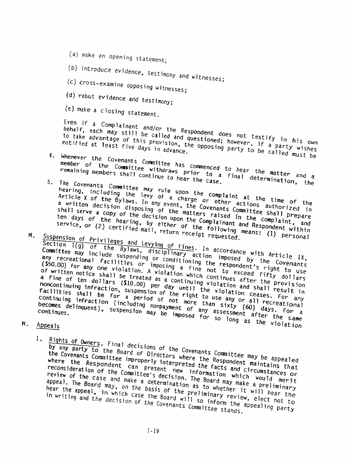- (a) make an opening statement;
- (b) introduce evidence, testimony and witnesses;<br>(c) cross-examine opposing witnesses; (a) make an opening statement;<br>(b) introduce evidence, testimony and witnesses;<br>(c)cross-examine opposing witnesses;<br>(d)rebut evidence and testimony;<br>(e) make a closing statement.
- (c) cross-examine opposing witnesses;<br>(d) rebut evidence and testimony:
- 
- (e) make <sup>a</sup> Closing statement

Even if a Complainant and/or the Respondent does not testify in his own behalf, each may still be called and questioned; however, if a party wishes to take advantage of this provision, the opposing party to be called must be

- 4. Whenever the Covenants Committee has commenced to hear the matter and a member of the Committee withdraws prior to a final determination, the
- 5. The Covenants Commaittee may rule upon the complaint at the time of the hearing, including the levy of a charge or other actions authorized in Article X of the Bylaws. In any event, the Covenants Committee shall prepare a written decision disposing of the matters raised in the complaint, and shall serve a copy of the decision upon the Complainant and Respondent Within
- ten days of the hearing, by either of the following means: (1) personal

M. Suspension of Privileges and Levying of Fines. In accordance with Article IX,<br>Committee may include suspending or conditioning the respondent's right to use<br>any recreational facilities or imposing a fine not to exceed Section I(g) of the Bylaws, disciplinary of Fines. In accordance with Article IX,<br>Committee may include suspending or conditioning the imposed by the Covenants<br>(\$50.00) for any one with the imposing a fine respondent's rig Committee may include suspending or conditioning the accordance with Article IX,<br>any recreational facilities or imposing a fine respondent's right to use<br>(\$50.00) for any one violation. A violation which not to exceed fift any recreational facilities or imposing a fine the respondent's right to use<br>(\$50.00) for any one violation. A violation which continues after the provision<br>of written notice shall be treated as a continuing violation afte (350.00) for any one violation. A violation which continues are right to use<br>of written notice shall be treated as a continuing violation safter the provision<br>a fine of ten dollars (\$10.00) per day until the violation and of written intrice share. (\$10.00) per day until the violation ceases. For any noncontinuing infraction, suspension of the right to use any or all recreational facilities shall be for a period of the right to use any or all recreation<br>continuing infraction (including nonpayment of more than sixty (60) days, For<br>continues, continues, suspension may be imposed for assessment after Continuing infraction (including nonpayment of any or all recreational<br>becomes delinquent), suspension may be imposed for so long as the violation becomes delinquent), suspension may be imposed toncinaing intraction (including nonpayment of any assessment arter the same<br>becomes delinquent), suspension may be imposed for so long as the violation From if a Completion of the Respondent does not testify in his contained that a diverting the localized of the compete of the compete of the compete of the compete of the compete of the compete of the compete of the compe

N.

1.

Final decisions of the Covenants Committee may be<br><sup>he</sup> Board of Directors where the Responder <sup>may</sup> be by any party to the Board of Directors where the Respondent maintains that the Covenants Committee improperly interpreted the facts and circumstances or where the Respondent can present new information which would merit where the nesponsions can present the matrix matrix morte morte metric. review of the case and make a determination as to whether it will hear the appeal. The Board may, on the basis of the preliminary review, elect not to appeal, the board may, of the board will so inform the appealing party in writing and the decision of the Covenants Committee stands.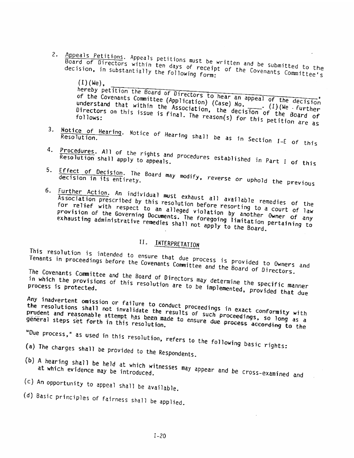2. Appeals Petitions. Appeals petitions must be written and be submitted to the Board of Directors within ten days of receipt of the Covenants Committee's<br>decision, in substantially the following form:<br>(I)(We). decision, in substantially the following form:

hereby petition the Board of Directors to hear an appeal of the decision of the Covenants Committee (Application) (Case)  $No.$  (1)( $We$  further understand that within the Association, the decision of the Board of Directors on this issue is final. The reason(s) for this petition are as<br>follows: follows: 2. Appendix presidings. Appearing presiding and the summarize of the constrained constrained and being the solicity of the Constantine (i) in the solicity of the Constantine (i) in the constrained constrained and being pr

- 3. <u>Notice of Hearing</u>. Notice of Hearing shall be as in Section I-E of this<br>Resolution. Resolution
- 4. Procedures. All of the rights and procedures established in Part I of this<br>Resolution shall apply to appeals.
- 5 Effect of Decision, The Board may modify, reverse or uphold the previous decision in its entirety. -\_
- 6. Further Action. An individual must exhaust all available remedies of the Association prescribed by this resolution before resorting to a court of law for relief with respect to an alleged violation by another Owner of any provision of the Governing Documents. The foregoing limitation pertaining to exhausting administrative remedies shall not apply to the Board.

### II. INTERPRETATION

This resolution is intended to ensure that due process is provided to Owners and<br>Tenants in proceedings before the Covenants Committee and the Board of Di Owners and

The Covenants Committee and the Board of Directors and the Board of Directors.<br>
The Board of Directors may determine the specific manner<br>
tected. in which the provisions of this resolution are to be implemented, provided that due<br>process is protected.<br>. process is protected.

Any inadvertent omission or failure to conduct proceedings in exact conformity with the resolutions shall not invalidate the results of such proceedings, so long as a prudent and reasonable attempt has been made to ensure due proceedings, so long as a<br>general steps set forth in this resolution.<br>...

- "Due process," as used in this resolution, refers to the following basic rights:<br>(a) The charges shall be provided to the Respondents
- 
- (b) A hearing shall be held at which witnesses may appear and be cross-examined and<br>at which evidence may be introduced.
- (c) An opportunity to appeal shall be available,

(d) Basic principles of fairness shall be applied.